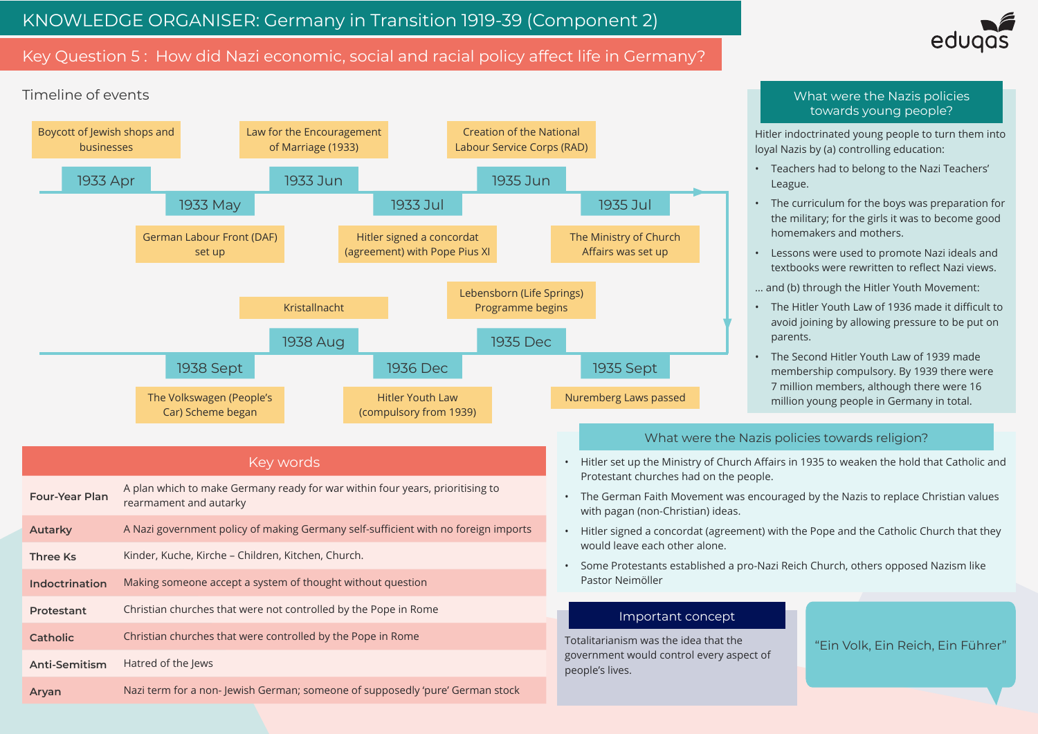# Key Question 5 : How did Nazi economic, social and racial policy affect life in Germany?

## Key words

| <b>Four-Year Plan</b> | A plan which to make Germany ready for war within four years, prioritising to<br>rearmament and autarky |
|-----------------------|---------------------------------------------------------------------------------------------------------|
| <b>Autarky</b>        | A Nazi government policy of making Germany self-sufficient with no foreign imports                      |
| <b>Three Ks</b>       | Kinder, Kuche, Kirche – Children, Kitchen, Church.                                                      |
| <b>Indoctrination</b> | Making someone accept a system of thought without question                                              |
| <b>Protestant</b>     | Christian churches that were not controlled by the Pope in Rome                                         |
| <b>Catholic</b>       | Christian churches that were controlled by the Pope in Rome                                             |
| <b>Anti-Semitism</b>  | Hatred of the Jews                                                                                      |
| Aryan                 | Nazi term for a non-Jewish German; someone of supposedly 'pure' German stock                            |

#### Timeline of events 1933 Apr Boycott of Jewish shops and businesses 1933 May German Labour Front (DAF) set up 1933 Jun Law for the Encouragement of Marriage (1933) 1933 Jul 1935 Jun 1935 Jul 1938 Sept 1938 Aug 1936 Dec 1935 Dec 1935 Sept Hitler signed a concordat (agreement) with Pope Pius XI Creation of the National Labour Service Corps (RAD) The Ministry of Church Affairs was set up The Volkswagen (People's Car) Scheme began Kristallnacht Hitler Youth Law (compulsory from 1939) Lebensborn (Life Springs) Programme begins Nuremberg Laws passed loyal Nazis by (a) controlling education: • Teachers had to belong to the Nazi Teachers' League. homemakers and mothers. • Lessons were used to promote Nazi ideals and … and (b) through the Hitler Youth Movement: parents. • The Second Hitler Youth Law of 1939 made 7 million members, although there were 16 million young people in Germany in total. What were the Nazis policies towards young people?

Totalitarianism was the idea that the government would control every aspect of people's lives.



## Important concept

"Ein Volk, Ein Reich, Ein Führer"

Hitler indoctrinated young people to turn them into

• The curriculum for the boys was preparation for the military; for the girls it was to become good

textbooks were rewritten to reflect Nazi views.

• The Hitler Youth Law of 1936 made it difficult to avoid joining by allowing pressure to be put on

membership compulsory. By 1939 there were

• The German Faith Movement was encouraged by the Nazis to replace Christian values

- Hitler set up the Ministry of Church Affairs in 1935 to weaken the hold that Catholic and Protestant churches had on the people.
- with pagan (non-Christian) ideas.
- would leave each other alone.
- Some Protestants established a pro-Nazi Reich Church, others opposed Nazism like Pastor Neimöller

• Hitler signed a concordat (agreement) with the Pope and the Catholic Church that they

## What were the Nazis policies towards religion?